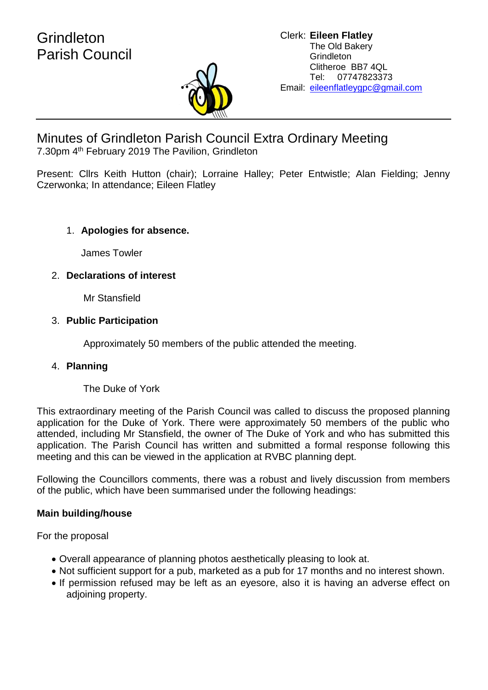## **Grindleton** Parish Council



# Minutes of Grindleton Parish Council Extra Ordinary Meeting

7.30pm 4<sup>th</sup> February 2019 The Pavilion, Grindleton

Present: Cllrs Keith Hutton (chair); Lorraine Halley; Peter Entwistle; Alan Fielding; Jenny Czerwonka; In attendance; Eileen Flatley

## 1. **Apologies for absence.**

James Towler

## 2. **Declarations of interest**

Mr Stansfield

## 3. **Public Participation**

Approximately 50 members of the public attended the meeting.

## 4. **Planning**

The Duke of York

This extraordinary meeting of the Parish Council was called to discuss the proposed planning application for the Duke of York. There were approximately 50 members of the public who attended, including Mr Stansfield, the owner of The Duke of York and who has submitted this application. The Parish Council has written and submitted a formal response following this meeting and this can be viewed in the application at RVBC planning dept.

Following the Councillors comments, there was a robust and lively discussion from members of the public, which have been summarised under the following headings:

## **Main building/house**

For the proposal

- Overall appearance of planning photos aesthetically pleasing to look at.
- Not sufficient support for a pub, marketed as a pub for 17 months and no interest shown.
- If permission refused may be left as an eyesore, also it is having an adverse effect on adjoining property.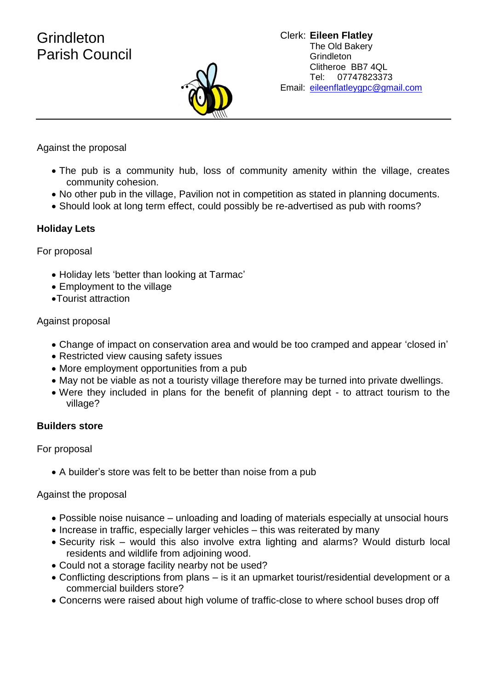## **Grindleton** Parish Council



Against the proposal

- The pub is a community hub, loss of community amenity within the village, creates community cohesion.
- No other pub in the village, Pavilion not in competition as stated in planning documents.
- Should look at long term effect, could possibly be re-advertised as pub with rooms?

### **Holiday Lets**

For proposal

- Holiday lets 'better than looking at Tarmac'
- Employment to the village
- •Tourist attraction

#### Against proposal

- Change of impact on conservation area and would be too cramped and appear 'closed in'
- Restricted view causing safety issues
- More employment opportunities from a pub
- May not be viable as not a touristy village therefore may be turned into private dwellings.
- Were they included in plans for the benefit of planning dept to attract tourism to the village?

#### **Builders store**

For proposal

• A builder's store was felt to be better than noise from a pub

#### Against the proposal

- Possible noise nuisance unloading and loading of materials especially at unsocial hours
- Increase in traffic, especially larger vehicles this was reiterated by many
- Security risk would this also involve extra lighting and alarms? Would disturb local residents and wildlife from adjoining wood.
- Could not a storage facility nearby not be used?
- Conflicting descriptions from plans is it an upmarket tourist/residential development or a commercial builders store?
- Concerns were raised about high volume of traffic-close to where school buses drop off